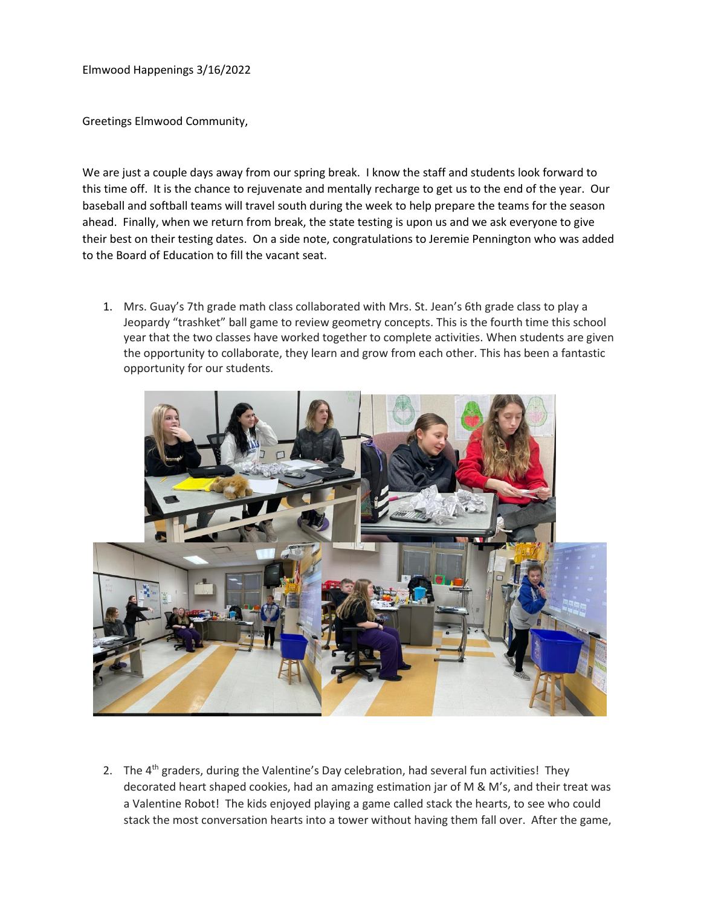Elmwood Happenings 3/16/2022

Greetings Elmwood Community,

We are just a couple days away from our spring break. I know the staff and students look forward to this time off. It is the chance to rejuvenate and mentally recharge to get us to the end of the year. Our baseball and softball teams will travel south during the week to help prepare the teams for the season ahead. Finally, when we return from break, the state testing is upon us and we ask everyone to give their best on their testing dates. On a side note, congratulations to Jeremie Pennington who was added to the Board of Education to fill the vacant seat.

1. Mrs. Guay's 7th grade math class collaborated with Mrs. St. Jean's 6th grade class to play a Jeopardy "trashket" ball game to review geometry concepts. This is the fourth time this school year that the two classes have worked together to complete activities. When students are given the opportunity to collaborate, they learn and grow from each other. This has been a fantastic opportunity for our students.



2. The 4<sup>th</sup> graders, during the Valentine's Day celebration, had several fun activities! They decorated heart shaped cookies, had an amazing estimation jar of M & M's, and their treat was a Valentine Robot! The kids enjoyed playing a game called stack the hearts, to see who could stack the most conversation hearts into a tower without having them fall over. After the game,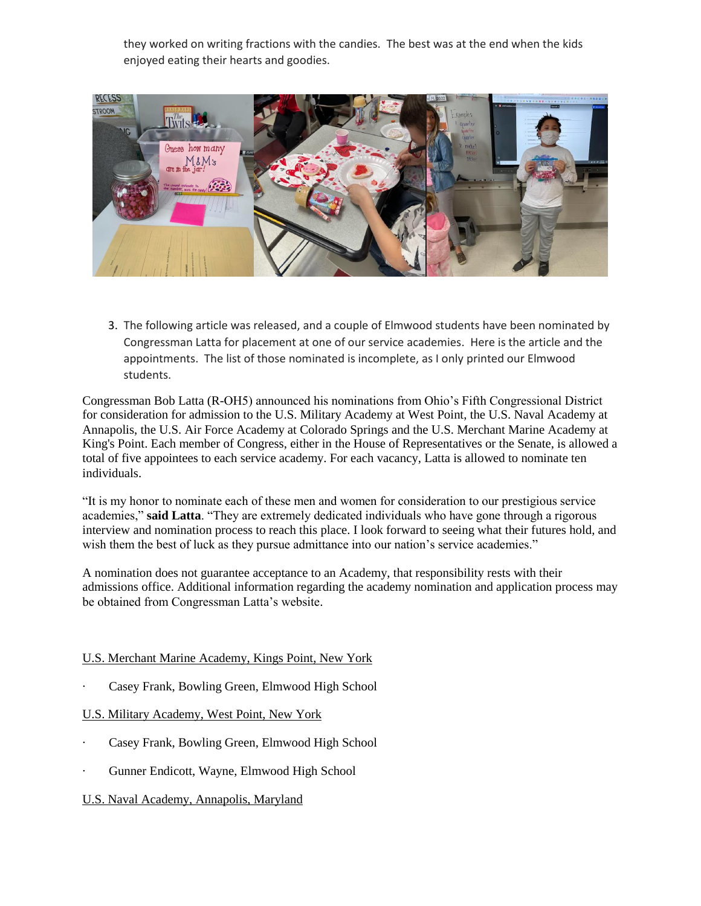they worked on writing fractions with the candies. The best was at the end when the kids enjoyed eating their hearts and goodies.



3. The following article was released, and a couple of Elmwood students have been nominated by Congressman Latta for placement at one of our service academies. Here is the article and the appointments. The list of those nominated is incomplete, as I only printed our Elmwood students.

Congressman Bob Latta (R-OH5) announced his nominations from Ohio's Fifth Congressional District for consideration for admission to the U.S. Military Academy at West Point, the U.S. Naval Academy at Annapolis, the U.S. Air Force Academy at Colorado Springs and the U.S. Merchant Marine Academy at King's Point. Each member of Congress, either in the House of Representatives or the Senate, is allowed a total of five appointees to each service academy. For each vacancy, Latta is allowed to nominate ten individuals.

"It is my honor to nominate each of these men and women for consideration to our prestigious service academies," **said Latta**. "They are extremely dedicated individuals who have gone through a rigorous interview and nomination process to reach this place. I look forward to seeing what their futures hold, and wish them the best of luck as they pursue admittance into our nation's service academies."

A nomination does not guarantee acceptance to an Academy, that responsibility rests with their admissions office. Additional information regarding the academy nomination and application process may be obtained from Congressman Latta's website.

## U.S. Merchant Marine Academy, Kings Point, New York

Casey Frank, Bowling Green, Elmwood High School

## U.S. Military Academy, West Point, New York

- Casey Frank, Bowling Green, Elmwood High School
- · Gunner Endicott, Wayne, Elmwood High School

## U.S. Naval Academy, Annapolis, Maryland